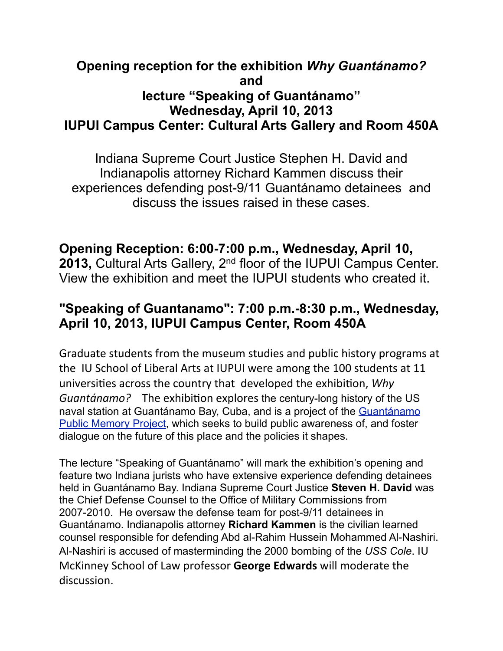## **Opening reception for the exhibition** *Why Guantánamo?* **and lecture "Speaking of Guantánamo" Wednesday, April 10, 2013 IUPUI Campus Center: Cultural Arts Gallery and Room 450A**

 Indiana Supreme Court Justice Stephen H. David and Indianapolis attorney Richard Kammen discuss their experiences defending post-9/11 Guantánamo detainees and discuss the issues raised in these cases.

## **Opening Reception: 6:00-7:00 p.m., Wednesday, April 10,**

2013, Cultural Arts Gallery, 2<sup>nd</sup> floor of the IUPUI Campus Center. View the exhibition and meet the IUPUI students who created it.

## **"Speaking of Guantanamo": 7:00 p.m.-8:30 p.m., Wednesday, April 10, 2013, IUPUI Campus Center, Room 450A**

Graduate students from the museum studies and public history programs at the IU School of Liberal Arts at IUPUI were among the 100 students at 11 universities across the country that developed the exhibition, *Why Guantánamo?* The exhibition explores the century-long history of the US naval station at Guantánamo Bay, Cuba, and is a project of the [Guantánamo](http://www.gitmomemory.org/)  [Public Memory Project](http://www.gitmomemory.org/), which seeks to build public awareness of, and foster dialogue on the future of this place and the policies it shapes.

The lecture "Speaking of Guantánamo" will mark the exhibition's opening and feature two Indiana jurists who have extensive experience defending detainees held in Guantánamo Bay. Indiana Supreme Court Justice **Steven H. David** was the Chief Defense Counsel to the Office of Military Commissions from 2007-2010. He oversaw the defense team for post-9/11 detainees in Guantánamo. Indianapolis attorney **Richard Kammen** is the civilian learned counsel responsible for defending Abd al-Rahim Hussein Mohammed Al-Nashiri. Al-Nashiri is accused of masterminding the 2000 bombing of the *USS Cole*. IU McKinney School of Law professor **George Edwards** will moderate the discussion.